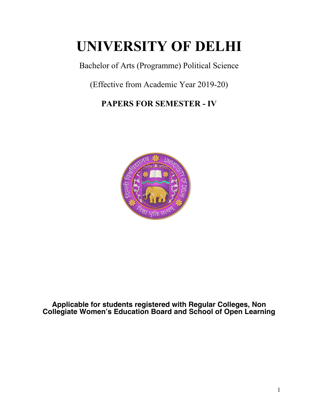# **UNIVERSITY OF DELHI**

Bachelor of Arts (Programme) Political Science

(Effective from Academic Year 2019-20)

**PAPERS FOR SEMESTER - IV**



**Applicable for students registered with Regular Colleges, Non Collegiate Women's Education Board and School of Open Learning**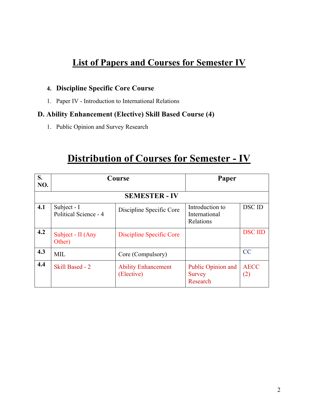## **List of Papers and Courses for Semester IV**

## **4. Discipline Specific Core Course**

1. Paper IV - Introduction to International Relations

## **D. Ability Enhancement (Elective) Skill Based Course (4)**

1. Public Opinion and Survey Research

## **Distribution of Courses for Semester - IV**

| S.<br>NO.            | Course                               |                                          | Paper                                           |                    |
|----------------------|--------------------------------------|------------------------------------------|-------------------------------------------------|--------------------|
| <b>SEMESTER - IV</b> |                                      |                                          |                                                 |                    |
| 4.1                  | Subject - I<br>Political Science - 4 | Discipline Specific Core                 | Introduction to<br>International<br>Relations   | <b>DSCID</b>       |
| 4.2                  | Subject - II (Any<br>Other)          | Discipline Specific Core                 |                                                 | <b>DSC IID</b>     |
| 4.3                  | <b>MIL</b>                           | Core (Compulsory)                        |                                                 | CC                 |
| 4.4                  | Skill Based - 2                      | <b>Ability Enhancement</b><br>(Elective) | Public Opinion and<br><b>Survey</b><br>Research | <b>AECC</b><br>(2) |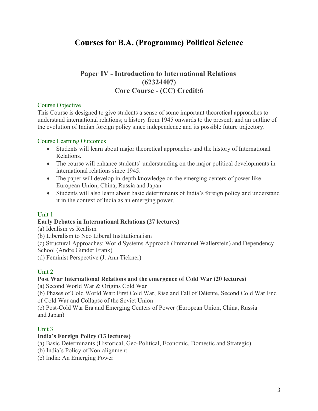## **Paper IV - Introduction to International Relations (62324407) Core Course - (CC) Credit:6**

## Course Objective

This Course is designed to give students a sense of some important theoretical approaches to understand international relations; a history from 1945 onwards to the present; and an outline of the evolution of Indian foreign policy since independence and its possible future trajectory.

## Course Learning Outcomes

- Students will learn about major theoretical approaches and the history of International Relations.
- The course will enhance students' understanding on the major political developments in international relations since 1945.
- The paper will develop in-depth knowledge on the emerging centers of power like European Union, China, Russia and Japan.
- Students will also learn about basic determinants of India's foreign policy and understand it in the context of India as an emerging power.

## Unit 1

## **Early Debates in International Relations (27 lectures)**

(a) Idealism vs Realism

(b) Liberalism to Neo Liberal Institutionalism

(c) Structural Approaches: World Systems Approach (Immanuel Wallerstein) and Dependency School (Andre Gunder Frank)

(d) Feminist Perspective (J. Ann Tickner)

## Unit 2

## **Post War International Relations and the emergence of Cold War (20 lectures)**

(a) Second World War & Origins Cold War

(b) Phases of Cold World War: First Cold War, Rise and Fall of Détente, Second Cold War End of Cold War and Collapse of the Soviet Union

(c) Post-Cold War Era and Emerging Centers of Power (European Union, China, Russia and Japan)

## Unit 3

## **India's Foreign Policy (13 lectures)**

(a) Basic Determinants (Historical, Geo-Political, Economic, Domestic and Strategic)

- (b) India's Policy of Non-alignment
- (c) India: An Emerging Power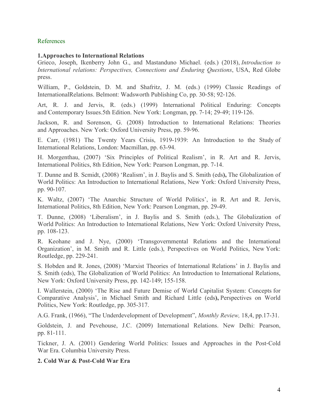#### References

#### **1.Approaches to International Relations**

Grieco, Joseph, Ikenberry John G., and Mastanduno Michael. (eds.) (2018), *Introduction to International relations: Perspectives, Connections and Enduring Questions*, USA, Red Globe press.

William, P., Goldstein, D. M. and Shafritz, J. M. (eds.) (1999) Classic Readings of InternationalRelations. Belmont: Wadsworth Publishing Co, pp. 30-58; 92-126.

Art, R. J. and Jervis, R. (eds.) (1999) International Political Enduring: Concepts and Contemporary Issues.5th Edition. New York: Longman, pp. 7-14; 29-49; 119-126.

Jackson, R. and Sorenson, G. (2008) Introduction to International Relations: Theories and Approaches. New York: Oxford University Press, pp. 59-96.

E. Carr, (1981) The Twenty Years Crisis, 1919-1939: An Introduction to the Study of International Relations, London: Macmillan, pp. 63-94.

H. Morgenthau, (2007) 'Six Principles of Political Realism', in R. Art and R. Jervis, International Politics, 8th Edition, New York: Pearson Longman, pp. 7-14.

T. Dunne and B. Scmidt, (2008) 'Realism', in J. Baylis and S. Smith (eds**),** The Globalization of World Politics: An Introduction to International Relations, New York: Oxford University Press, pp. 90-107.

K. Waltz, (2007) 'The Anarchic Structure of World Politics', in R. Art and R. Jervis, International Politics, 8th Edition, New York: Pearson Longman, pp. 29-49.

T. Dunne, (2008) 'Liberalism', in J. Baylis and S. Smith (eds.), The Globalization of World Politics: An Introduction to International Relations, New York: Oxford University Press, pp. 108-123.

R. Keohane and J. Nye, (2000) 'Transgovernmental Relations and the International Organization', in M. Smith and R. Little (eds.), Perspectives on World Politics, New York: Routledge, pp. 229-241.

S. Hobden and R. Jones, (2008) 'Marxist Theories of International Relations' in J. Baylis and S. Smith (eds), The Globalization of World Politics: An Introduction to International Relations, New York: Oxford University Press, pp. 142-149; 155-158.

I. Wallerstein, (2000) 'The Rise and Future Demise of World Capitalist System: Concepts for Comparative Analysis', in Michael Smith and Richard Little (eds**),** Perspectives on World Politics, New York: Routledge, pp. 305-317.

A.G. Frank, (1966), "The Underdevelopment of Development", *Monthly Review,* 18,4, pp.17-31.

Goldstein, J. and Pevehouse, J.C. (2009) International Relations. New Delhi: Pearson, pp. 81-111.

Tickner, J. A. (2001) Gendering World Politics: Issues and Approaches in the Post-Cold War Era. Columbia University Press.

#### **2. Cold War & Post-Cold War Era**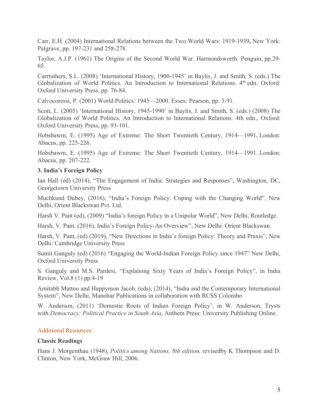Carr, E.H. (2004) International Relations between the Two World Wars: 1919-1939**,** New York: Palgrave, pp. 197-231 and 258-278.

Taylor, A.J.P. (1961) The Origins of the Second World War. Harmondsworth: Penguin, pp.29- 65.

Carrtuthers, S.L. (2008) 'International History, 1900-1945' in Baylis, J. and Smith, S. (eds.) The Globalization of World Politics. An Introduction to International Relations. 4th edn. Oxford: Oxford University Press, pp. 76-84.

Calvocoressi, P. (2001) World Politics: 1945—2000. Essex: Pearson, pp. 3-91.

Scott, L. (2005) 'International History, 1945-1990' in Baylis, J. and Smith, S. (eds.) (2008) The Globalization of World Politics. An Introduction to International Relations. 4th edn., Oxford: Oxford University Press, pp. 93-101.

Hobsbawm, E. (1995) Age of Extreme: The Short Twentieth Century, 1914—1991**.** London: Abacus, pp. 225-226.

Hobsbawm, E. (1995) Age of Extreme: The Short Twentieth Century, 1914—1991. London: Abacus, pp. 207-222.

#### **3. India's Foreign Policy**

Ian Hall (ed) (2014), "The Engagement of India: Strategies and Responses", Washington, DC, Georgetown University Press

Muchkund Dubey, (2016), "India's Foreign Policy: Coping with the Changing World", New Delhi, Orient Blackswan Pvt. Ltd.

Harsh V. Pant (ed), (2009) "India's foreign Policy in a Unipolar World", New Delhi, Routledge.

Harsh, V. Pant, (2016), India's Foreign Policy-An Overview", New Delhi: Orient Blackswan.

Harsh, V. Pant, (ed) (2019), "New Directions in India's foreign Policy: Theory and Praxis", New Delhi: Cambridge University Press

Sumit Ganguly (ed) (2016) "Engaging the World-Indian Foreign Policy since 1947" New Delhi, Oxford University Press

S. Ganguly and M.S. Pardesi, "Explaining Sixty Years of India's Foreign Policy", in India Review, Vol.8 (1) pp.4-19

Amitabh Mattoo and Happymon Jacob, (eds), (2014), "India and the Contemporary International System", New Delhi, Manohar Publications in collaboration with RCSS Colombo.

W. Anderson, (2011) 'Domestic Roots of Indian Foreign Policy', in W. Anderson, Trysts with *Democracy: Political Practice in South Asia*, Anthem Press: University Publishing Online.

#### Additional Resources:

#### **Classic Readings**

Hans J. Morgenthau (1948), *Politics among Nations, 8th edition,* revisedby K Thompson and D. Clinton, New York, McGraw Hill, 2006.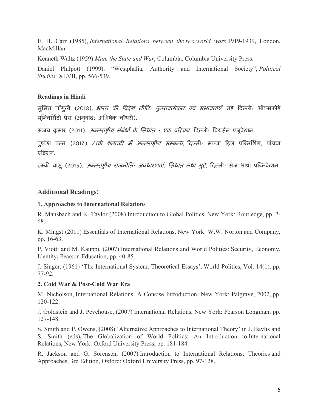E. H. Carr (1985), *International Relations between the two world wars* 1919-1939, London, MacMillan.

Kenneth Waltz (1959) *Man, the State and War*, Columbia, Columbia University Press.

Daniel Philpott (1999), "Westphalia, Authority and International Society", *Political Studies,* XLVII, pp. 566-539.

## **Readings in Hindi**

सुमित गाँगुली (2018), *भारत की विदेश नीति: पुनरावलोकन एवं संभावनाएँ*, नई दिल्ली: ऑक्सफोर्ड यूनिवर्सिटी प्रेस (अनुवाद: अभिषेक चौधरी).

अजय कुमार (2011), *अन्तराष्ट्रीय संबंधों के सिधांत : एक परिचय,* दिल्ली: पियर्सन एजुकेशन.

पुष्पेश पन्त (2017), *21वी शताब्दी में अन्तराष्टीय सम्बन्ध,* दिल्ली: मक्ग्रा हिल पब्लिशिंग, पांचवा एडिशन.

रुम्की बासु (2015), *अन्तराष्ट्रीय राजनीति: अवधारणाएं, सिधांत तथा मुद्दे,* दिल्ली: सेज भाषा पब्लिकेशन.

## **Additional Readings:**

## **1. Approaches to International Relations**

R. Mansbach and K. Taylor (2008) Introduction to Global Politics, New York: Routledge, pp. 2- 68.

K. Mingst (2011) Essentials of International Relations, New York: W.W. Norton and Company, pp. 16-63.

P. Viotti and M. Kauppi, (2007) International Relations and World Politics: Security, Economy, Identity**,** Pearson Education, pp. 40-85.

J. Singer, (1961) 'The International System: Theoretical Essays', World Politics, Vol. 14(1), pp. 77-92.

## **2. Cold War & Post-Cold War Era**

M. Nicholson, International Relations: A Concise Introduction, New York: Palgrave, 2002, pp. 120-122.

J. Goldstein and J. Pevehouse, (2007) International Relations, New York: Pearson Longman, pp. 127-148.

S. Smith and P. Owens, (2008) 'Alternative Approaches to International Theory' in J. Baylis and S. Smith (eds**),** The Globalization of World Politics: An Introduction to International Relations**,** New York: Oxford University Press, pp. 181-184.

R. Jackson and G. Sorensen, (2007) Introduction to International Relations: Theories and Approaches, 3rd Edition, Oxford: Oxford University Press, pp. 97-128.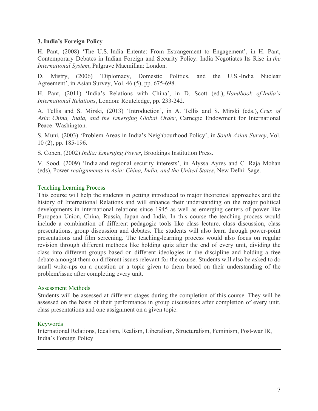#### **3. India's Foreign Policy**

H. Pant, (2008) 'The U.S.-India Entente: From Estrangement to Engagement', in H. Pant, Contemporary Debates in Indian Foreign and Security Policy: India Negotiates Its Rise in *the International System*, Palgrave Macmillan: London.

D. Mistry, (2006) 'Diplomacy, Domestic Politics, and the U.S.-India Nuclear Agreement', in Asian Survey, Vol. 46 (5), pp. 675-698.

H. Pant, (2011) 'India's Relations with China', in D. Scott (ed.), *Handbook of India's International Relations*, London: Routeledge, pp. 233-242.

A. Tellis and S. Mirski, (2013) 'Introduction', in A. Tellis and S. Mirski (eds.), *Crux of Asia: China, India, and the Emerging Global Order*, Carnegie Endowment for International Peace: Washington.

S. Muni, (2003) 'Problem Areas in India's Neighbourhood Policy', in *South Asian Survey*, Vol. 10 (2), pp. 185-196.

S. Cohen, (2002) *India: Emerging Power*, Brookings Institution Press.

V. Sood, (2009) 'India and regional security interests', in Alyssa Ayres and C. Raja Mohan (eds), Power *realignments in Asia: China, India, and the United States*, New Delhi: Sage.

#### Teaching Learning Process

This course will help the students in getting introduced to major theoretical approaches and the history of International Relations and will enhance their understanding on the major political developments in international relations since 1945 as well as emerging centers of power like European Union, China, Russia, Japan and India. In this course the teaching process would include a combination of different pedagogic tools like class lecture, class discussion, class presentations, group discussion and debates. The students will also learn through power-point presentations and film screening. The teaching-learning process would also focus on regular revision through different methods like holding quiz after the end of every unit, dividing the class into different groups based on different ideologies in the discipline and holding a free debate amongst them on different issues relevant for the course. Students will also be asked to do small write-ups on a question or a topic given to them based on their understanding of the problem/issue after completing every unit.

#### Assessment Methods

Students will be assessed at different stages during the completion of this course. They will be assessed on the basis of their performance in group discussions after completion of every unit, class presentations and one assignment on a given topic.

#### Keywords

International Relations, Idealism, Realism, Liberalism, Structuralism, Feminism, Post-war IR, India's Foreign Policy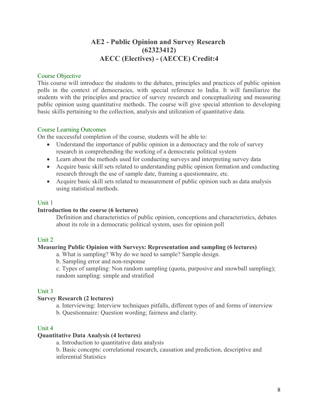## **AE2 - Public Opinion and Survey Research (62323412) AECC (Electives) - (AECCE) Credit:4**

#### Course Objective

This course will introduce the students to the debates, principles and practices of public opinion polls in the context of democracies, with special reference to India. It will familiarize the students with the principles and practice of survey research and conceptualizing and measuring public opinion using quantitative methods. The course will give special attention to developing basic skills pertaining to the collection, analysis and utilization of quantitative data.

#### Course Learning Outcomes

On the successful completion of the course, students will be able to:

- Understand the importance of public opinion in a democracy and the role of survey research in comprehending the working of a democratic political system
- Learn about the methods used for conducting surveys and interpreting survey data
- Acquire basic skill sets related to understanding public opinion formation and conducting research through the use of sample date, framing a questionnaire, etc.
- Acquire basic skill sets related to measurement of public opinion such as data analysis using statistical methods.

#### Unit 1

#### **Introduction to the course (6 lectures)**

Definition and characteristics of public opinion, conceptions and characteristics, debates about its role in a democratic political system, uses for opinion poll

## Unit 2

#### **Measuring Public Opinion with Surveys: Representation and sampling (6 lectures)**

a. What is sampling? Why do we need to sample? Sample design.

b. Sampling error and non-response

c. Types of sampling: Non random sampling (quota, purposive and snowball sampling); random sampling: simple and stratified

## Unit 3

#### **Survey Research (2 lectures)**

a. Interviewing: Interview techniques pitfalls, different types of and forms of interview b. Questionnaire: Question wording; fairness and clarity.

#### Unit 4

#### **Quantitative Data Analysis (4 lectures)**

a. Introduction to quantitative data analysis

b. Basic concepts: correlational research, causation and prediction, descriptive and inferential Statistics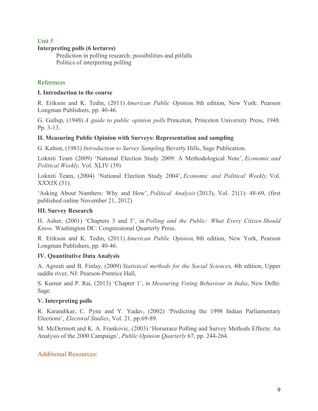## Unit 5 **Interpreting polls (6 lectures)**

Prediction in polling research: possibilities and pitfalls Politics of interpreting polling

## References

## **I. Introduction to the course**

R. Erikson and K. Tedin, (2011) *American Public Opinion,* 8th edition, New York: Pearson Longman Publishers, pp. 40-46.

G. Gallup, (1948) *A guide to public opinion polls* Princeton, Princeton University Press, 1948. Pp. 3-13.

## **II. Measuring Public Opinion with Surveys: Representation and sampling**

G. Kalton, (1983) *Introduction to Survey Sampling* Beverly Hills, Sage Publication.

Lokniti Team (2009) 'National Election Study 2009: A Methodological Note', *Economic and Political Weekly,* Vol. XLIV (39)

Lokniti Team, (2004) 'National Election Study 2004', *Economic and Political Weekly,* Vol. XXXIX (51).

'Asking About Numbers: Why and How', *Political Analysis* (2013), Vol. 21(1): 48-69, (first published online November 21, 2012)

## **III. Survey Research**

H. Asher, (2001) 'Chapters 3 and 5', in *Polling and the Public: What Every Citizen Should Know,* Washington DC: Congressional Quarterly Press.

R. Erikson and K. Tedin, (2011) *American Public Opinion,* 8th edition, New York, Pearson Longman Publishers, pp. 40-46.

## **IV. Quantitative Data Analysis**

A. Agresti and B. Finlay, (2009) *Statistical methods for the Social Sciences,* 4th edition, Upper saddle river, NJ: Pearson-Prentice Hall,

S. Kumar and P. Rai, (2013) 'Chapter 1', in *Measuring Voting Behaviour in India*, New Delhi: Sage.

## **V. Interpreting polls**

R. Karandikar, C. Pyne and Y. Yadav, (2002) 'Predicting the 1998 Indian Parliamentary Elections', *Electoral Studies*, Vol. 21, pp.69-89.

M. McDermott and K. A. Frankovic, (2003) 'Horserace Polling and Survey Methods Effects: An Analysis of the 2000 Campaign', *Public Opinion Quarterly* 67, pp. 244-264.

## Additional Resources: